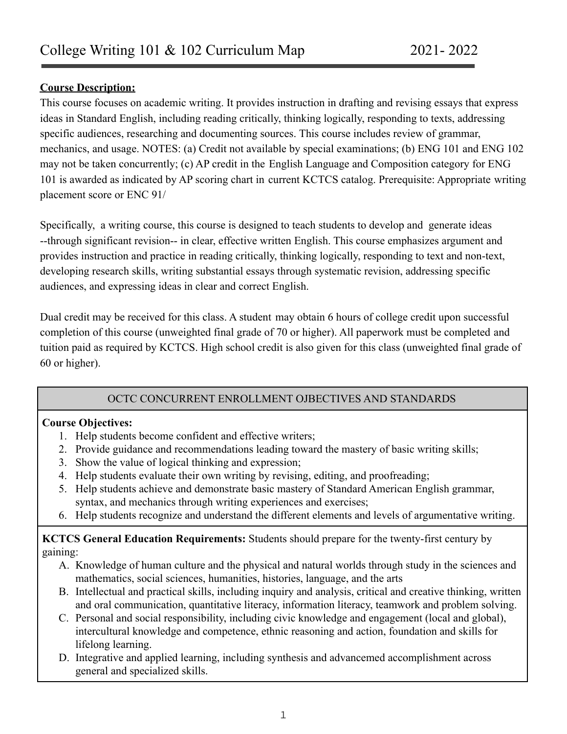#### **Course Description:**

This course focuses on academic writing. It provides instruction in drafting and revising essays that express ideas in Standard English, including reading critically, thinking logically, responding to texts, addressing specific audiences, researching and documenting sources. This course includes review of grammar, mechanics, and usage. NOTES: (a) Credit not available by special examinations; (b) ENG 101 and ENG 102 may not be taken concurrently; (c) AP credit in the English Language and Composition category for ENG 101 is awarded as indicated by AP scoring chart in current KCTCS catalog. Prerequisite: Appropriate writing placement score or ENC 91/

Specifically, a writing course, this course is designed to teach students to develop and generate ideas --through significant revision-- in clear, effective written English. This course emphasizes argument and provides instruction and practice in reading critically, thinking logically, responding to text and non-text, developing research skills, writing substantial essays through systematic revision, addressing specific audiences, and expressing ideas in clear and correct English.

Dual credit may be received for this class. A student may obtain 6 hours of college credit upon successful completion of this course (unweighted final grade of 70 or higher). All paperwork must be completed and tuition paid as required by KCTCS. High school credit is also given for this class (unweighted final grade of 60 or higher).

### OCTC CONCURRENT ENROLLMENT OJBECTIVES AND STANDARDS

### **Course Objectives:**

- 1. Help students become confident and effective writers;
- 2. Provide guidance and recommendations leading toward the mastery of basic writing skills;
- 3. Show the value of logical thinking and expression;
- 4. Help students evaluate their own writing by revising, editing, and proofreading;
- 5. Help students achieve and demonstrate basic mastery of Standard American English grammar, syntax, and mechanics through writing experiences and exercises;
- 6. Help students recognize and understand the different elements and levels of argumentative writing.

### **KCTCS General Education Requirements:** Students should prepare for the twenty-first century by gaining:

- A. Knowledge of human culture and the physical and natural worlds through study in the sciences and mathematics, social sciences, humanities, histories, language, and the arts
- B. Intellectual and practical skills, including inquiry and analysis, critical and creative thinking, written and oral communication, quantitative literacy, information literacy, teamwork and problem solving.
- C. Personal and social responsibility, including civic knowledge and engagement (local and global), intercultural knowledge and competence, ethnic reasoning and action, foundation and skills for lifelong learning.
- D. Integrative and applied learning, including synthesis and advancemed accomplishment across general and specialized skills.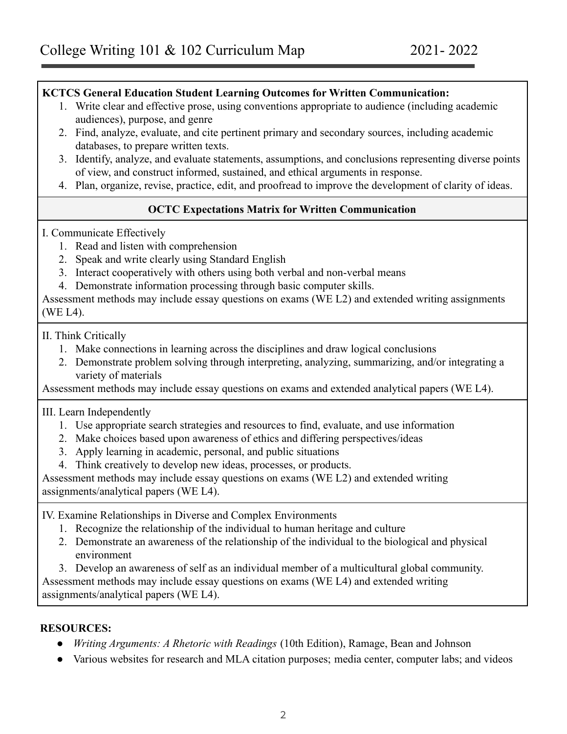#### **KCTCS General Education Student Learning Outcomes for Written Communication:**

- 1. Write clear and effective prose, using conventions appropriate to audience (including academic audiences), purpose, and genre
- 2. Find, analyze, evaluate, and cite pertinent primary and secondary sources, including academic databases, to prepare written texts.
- 3. Identify, analyze, and evaluate statements, assumptions, and conclusions representing diverse points of view, and construct informed, sustained, and ethical arguments in response.
- 4. Plan, organize, revise, practice, edit, and proofread to improve the development of clarity of ideas.

# **OCTC Expectations Matrix for Written Communication**

#### I. Communicate Effectively

- 1. Read and listen with comprehension
- 2. Speak and write clearly using Standard English
- 3. Interact cooperatively with others using both verbal and non-verbal means
- 4. Demonstrate information processing through basic computer skills.

Assessment methods may include essay questions on exams (WE L2) and extended writing assignments (WE L4).

II. Think Critically

- 1. Make connections in learning across the disciplines and draw logical conclusions
- 2. Demonstrate problem solving through interpreting, analyzing, summarizing, and/or integrating a variety of materials

Assessment methods may include essay questions on exams and extended analytical papers (WE L4).

#### III. Learn Independently

- 1. Use appropriate search strategies and resources to find, evaluate, and use information
- 2. Make choices based upon awareness of ethics and differing perspectives/ideas
- 3. Apply learning in academic, personal, and public situations
- 4. Think creatively to develop new ideas, processes, or products.

Assessment methods may include essay questions on exams (WE L2) and extended writing assignments/analytical papers (WE L4).

IV. Examine Relationships in Diverse and Complex Environments

- 1. Recognize the relationship of the individual to human heritage and culture
- 2. Demonstrate an awareness of the relationship of the individual to the biological and physical environment
- 3. Develop an awareness of self as an individual member of a multicultural global community.

Assessment methods may include essay questions on exams (WE L4) and extended writing assignments/analytical papers (WE L4).

### **RESOURCES:**

- *● Writing Arguments: A Rhetoric with Readings* (10th Edition), Ramage, Bean and Johnson
- Various websites for research and MLA citation purposes; media center, computer labs; and videos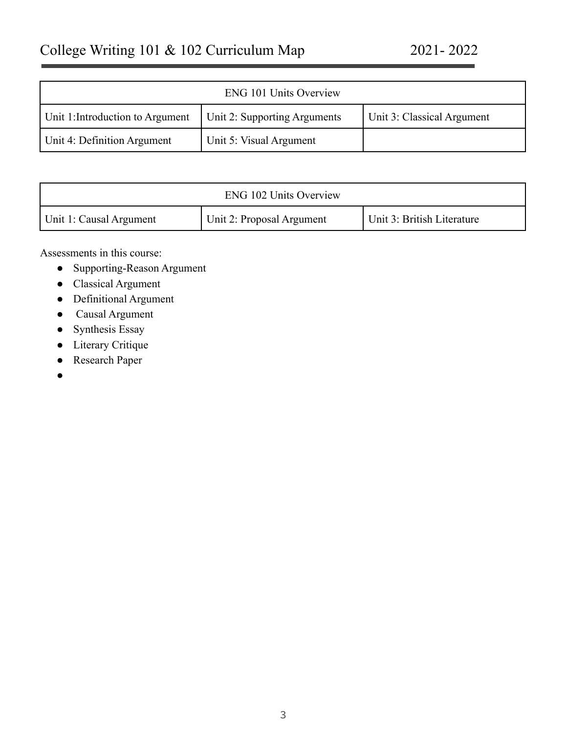|                                  | <b>ENG 101 Units Overview</b> |                            |
|----------------------------------|-------------------------------|----------------------------|
| Unit 1: Introduction to Argument | Unit 2: Supporting Arguments  | Unit 3: Classical Argument |
| Unit 4: Definition Argument      | Unit 5: Visual Argument       |                            |

| <b>ENG 102 Units Overview</b> |                           |                            |
|-------------------------------|---------------------------|----------------------------|
| Unit 1: Causal Argument       | Unit 2: Proposal Argument | Unit 3: British Literature |

Assessments in this course:

- Supporting-Reason Argument
- Classical Argument
- Definitional Argument
- Causal Argument
- Synthesis Essay
- Literary Critique
- Research Paper
- $\bullet$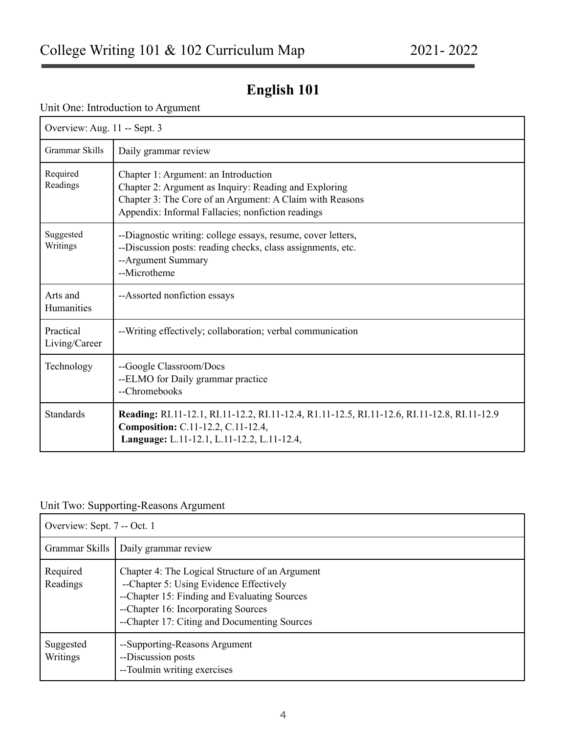# **English 101**

#### Unit One: Introduction to Argument

| Overview: Aug. 11 -- Sept. 3  |                                                                                                                                                                                                                |  |
|-------------------------------|----------------------------------------------------------------------------------------------------------------------------------------------------------------------------------------------------------------|--|
| Grammar Skills                | Daily grammar review                                                                                                                                                                                           |  |
| Required<br>Readings          | Chapter 1: Argument: an Introduction<br>Chapter 2: Argument as Inquiry: Reading and Exploring<br>Chapter 3: The Core of an Argument: A Claim with Reasons<br>Appendix: Informal Fallacies; nonfiction readings |  |
| Suggested<br>Writings         | --Diagnostic writing: college essays, resume, cover letters,<br>--Discussion posts: reading checks, class assignments, etc.<br>--Argument Summary<br>--Microtheme                                              |  |
| Arts and<br><b>Humanities</b> | --Assorted nonfiction essays                                                                                                                                                                                   |  |
| Practical<br>Living/Career    | --Writing effectively; collaboration; verbal communication                                                                                                                                                     |  |
| Technology                    | --Google Classroom/Docs<br>--ELMO for Daily grammar practice<br>--Chromebooks                                                                                                                                  |  |
| <b>Standards</b>              | Reading: RI.11-12.1, RI.11-12.2, RI.11-12.4, R1.11-12.5, RI.11-12.6, RI.11-12.8, RI.11-12.9<br>Composition: C.11-12.2, C.11-12.4,<br>Language: L.11-12.1, L.11-12.2, L.11-12.4,                                |  |

# Unit Two: Supporting-Reasons Argument

| Overview: Sept. 7 -- Oct. 1 |                                                                                                                                                                                                                                   |
|-----------------------------|-----------------------------------------------------------------------------------------------------------------------------------------------------------------------------------------------------------------------------------|
| Grammar Skills              | Daily grammar review                                                                                                                                                                                                              |
| Required<br>Readings        | Chapter 4: The Logical Structure of an Argument<br>--Chapter 5: Using Evidence Effectively<br>--Chapter 15: Finding and Evaluating Sources<br>--Chapter 16: Incorporating Sources<br>--Chapter 17: Citing and Documenting Sources |
| Suggested<br>Writings       | --Supporting-Reasons Argument<br>--Discussion posts<br>--Toulmin writing exercises                                                                                                                                                |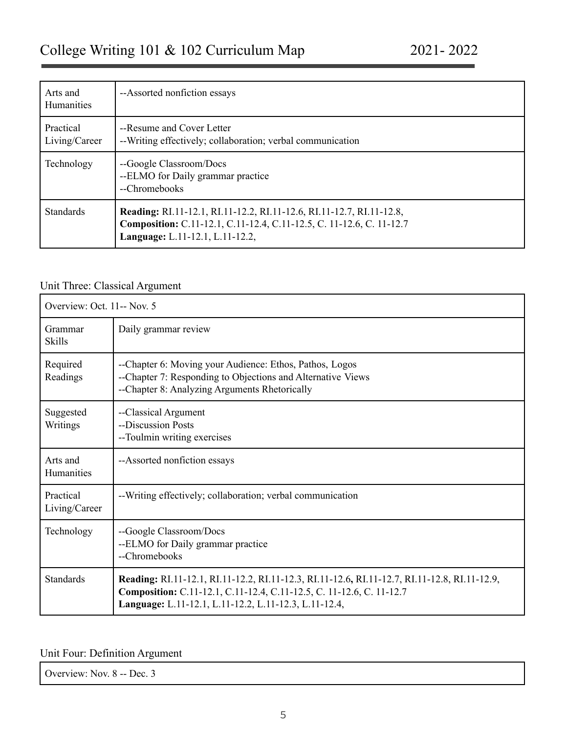| Arts and<br><b>Humanities</b> | --Assorted nonfiction essays                                                                                                                                                           |
|-------------------------------|----------------------------------------------------------------------------------------------------------------------------------------------------------------------------------------|
| Practical<br>Living/Career    | --Resume and Cover Letter<br>--Writing effectively; collaboration; verbal communication                                                                                                |
| Technology                    | --Google Classroom/Docs<br>--ELMO for Daily grammar practice<br>--Chromebooks                                                                                                          |
| <b>Standards</b>              | <b>Reading:</b> RI.11-12.1, RI.11-12.2, RI.11-12.6, RI.11-12.7, RI.11-12.8,<br>Composition: C.11-12.1, C.11-12.4, C.11-12.5, C. 11-12.6, C. 11-12.7<br>Language: L.11-12.1, L.11-12.2, |

# Unit Three: Classical Argument

| Overview: Oct. 11-- Nov. 5 |                                                                                                                                                                                                                               |  |
|----------------------------|-------------------------------------------------------------------------------------------------------------------------------------------------------------------------------------------------------------------------------|--|
| Grammar<br><b>Skills</b>   | Daily grammar review                                                                                                                                                                                                          |  |
| Required<br>Readings       | --Chapter 6: Moving your Audience: Ethos, Pathos, Logos<br>--Chapter 7: Responding to Objections and Alternative Views<br>--Chapter 8: Analyzing Arguments Rhetorically                                                       |  |
| Suggested<br>Writings      | --Classical Argument<br>--Discussion Posts<br>--Toulmin writing exercises                                                                                                                                                     |  |
| Arts and<br>Humanities     | --Assorted nonfiction essays                                                                                                                                                                                                  |  |
| Practical<br>Living/Career | --Writing effectively; collaboration; verbal communication                                                                                                                                                                    |  |
| Technology                 | --Google Classroom/Docs<br>--ELMO for Daily grammar practice<br>--Chromebooks                                                                                                                                                 |  |
| <b>Standards</b>           | Reading: RI.11-12.1, RI.11-12.2, RI.11-12.3, RI.11-12.6, RI.11-12.7, RI.11-12.8, RI.11-12.9,<br>Composition: C.11-12.1, C.11-12.4, C.11-12.5, C. 11-12.6, C. 11-12.7<br>Language: L.11-12.1, L.11-12.2, L.11-12.3, L.11-12.4, |  |

# Unit Four: Definition Argument

| Overview: Nov. 8 -- Dec. 3 |  |  |  |  |
|----------------------------|--|--|--|--|
|----------------------------|--|--|--|--|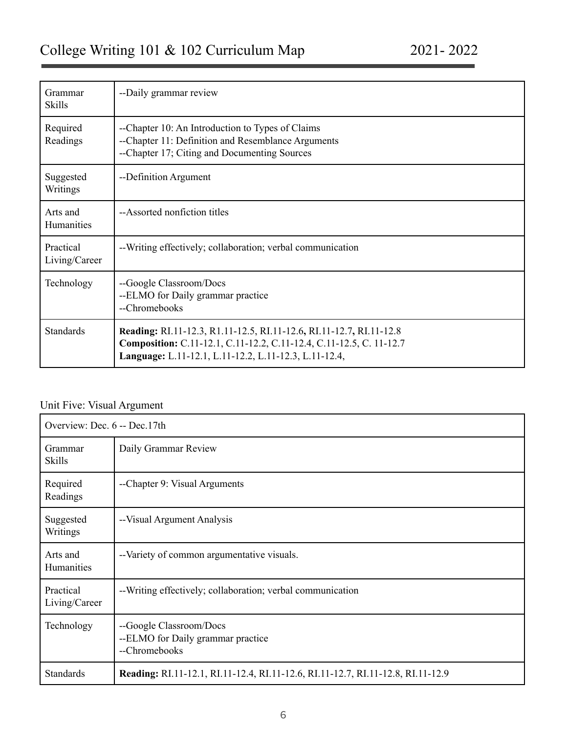| Grammar<br><b>Skills</b>      | --Daily grammar review                                                                                                                                                                              |
|-------------------------------|-----------------------------------------------------------------------------------------------------------------------------------------------------------------------------------------------------|
| Required<br>Readings          | --Chapter 10: An Introduction to Types of Claims<br>--Chapter 11: Definition and Resemblance Arguments<br>--Chapter 17; Citing and Documenting Sources                                              |
| Suggested<br>Writings         | --Definition Argument                                                                                                                                                                               |
| Arts and<br><b>Humanities</b> | --Assorted nonfiction titles                                                                                                                                                                        |
| Practical<br>Living/Career    | --Writing effectively; collaboration; verbal communication                                                                                                                                          |
| Technology                    | --Google Classroom/Docs<br>--ELMO for Daily grammar practice<br>--Chromebooks                                                                                                                       |
| <b>Standards</b>              | Reading: RI.11-12.3, R1.11-12.5, RI.11-12.6, RI.11-12.7, RI.11-12.8<br>Composition: C.11-12.1, C.11-12.2, C.11-12.4, C.11-12.5, C. 11-12.7<br>Language: L.11-12.1, L.11-12.2, L.11-12.3, L.11-12.4, |

# Unit Five: Visual Argument

| Overview: Dec. 6 -- Dec. 17th |                                                                                 |  |
|-------------------------------|---------------------------------------------------------------------------------|--|
| Grammar<br><b>Skills</b>      | Daily Grammar Review                                                            |  |
| Required<br>Readings          | --Chapter 9: Visual Arguments                                                   |  |
| Suggested<br>Writings         | --Visual Argument Analysis                                                      |  |
| Arts and<br>Humanities        | --Variety of common argumentative visuals.                                      |  |
| Practical<br>Living/Career    | --Writing effectively; collaboration; verbal communication                      |  |
| Technology                    | --Google Classroom/Docs<br>--ELMO for Daily grammar practice<br>--Chromebooks   |  |
| <b>Standards</b>              | Reading: RI.11-12.1, RI.11-12.4, RI.11-12.6, RI.11-12.7, RI.11-12.8, RI.11-12.9 |  |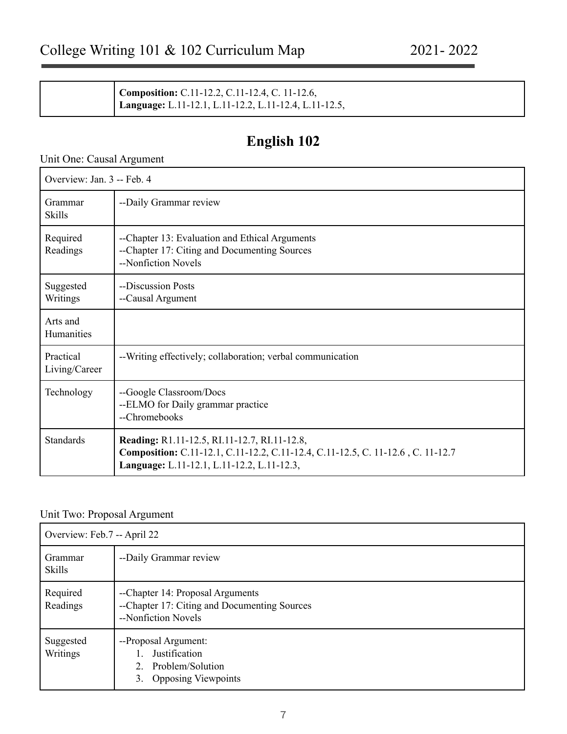| Composition: C.11-12.2, C.11-12.4, C. 11-12.6,        |
|-------------------------------------------------------|
| Language: L.11-12.1, L.11-12.2, L.11-12.4, L.11-12.5, |

# **English 102**

# Unit One: Causal Argument

| Overview: Jan. 3 -- Feb. 4 |                                                                                                                                                                               |  |
|----------------------------|-------------------------------------------------------------------------------------------------------------------------------------------------------------------------------|--|
| Grammar<br><b>Skills</b>   | --Daily Grammar review                                                                                                                                                        |  |
| Required<br>Readings       | --Chapter 13: Evaluation and Ethical Arguments<br>--Chapter 17: Citing and Documenting Sources<br>--Nonfiction Novels                                                         |  |
| Suggested<br>Writings      | --Discussion Posts<br>--Causal Argument                                                                                                                                       |  |
| Arts and<br>Humanities     |                                                                                                                                                                               |  |
| Practical<br>Living/Career | --Writing effectively; collaboration; verbal communication                                                                                                                    |  |
| Technology                 | --Google Classroom/Docs<br>--ELMO for Daily grammar practice<br>--Chromebooks                                                                                                 |  |
| <b>Standards</b>           | Reading: R1.11-12.5, RI.11-12.7, RI.11-12.8,<br>Composition: C.11-12.1, C.11-12.2, C.11-12.4, C.11-12.5, C. 11-12.6, C. 11-12.7<br>Language: L.11-12.1, L.11-12.2, L.11-12.3, |  |

#### Unit Two: Proposal Argument

| Overview: Feb.7 -- April 22 |                                                                                                         |
|-----------------------------|---------------------------------------------------------------------------------------------------------|
| Grammar<br><b>Skills</b>    | --Daily Grammar review                                                                                  |
| Required<br>Readings        | --Chapter 14: Proposal Arguments<br>--Chapter 17: Citing and Documenting Sources<br>--Nonfiction Novels |
| Suggested<br>Writings       | --Proposal Argument:<br><b>Justification</b><br>2. Problem/Solution<br><b>Opposing Viewpoints</b><br>3. |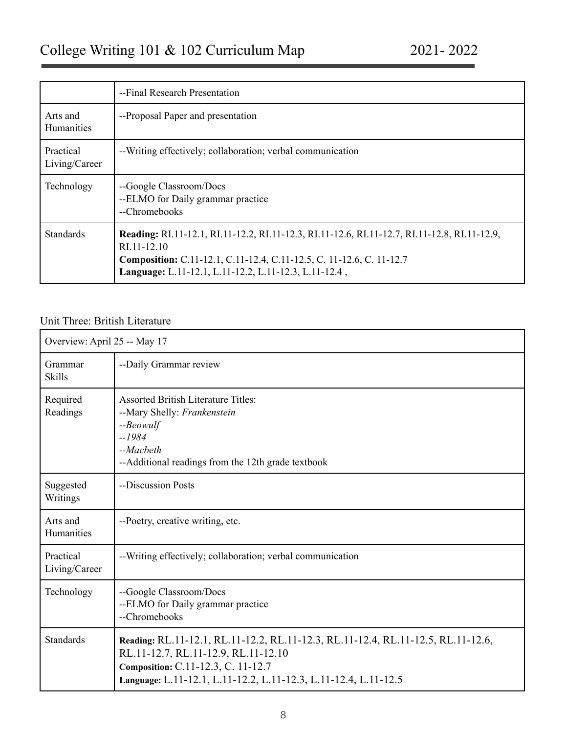|                                   | --Final Research Presentation                                                                                                                                                                                                                       |
|-----------------------------------|-----------------------------------------------------------------------------------------------------------------------------------------------------------------------------------------------------------------------------------------------------|
| Arts and<br><b>Humanities</b>     | --Proposal Paper and presentation                                                                                                                                                                                                                   |
| <b>Practical</b><br>Living/Career | --Writing effectively; collaboration; verbal communication                                                                                                                                                                                          |
| Technology                        | --Google Classroom/Docs<br>--ELMO for Daily grammar practice<br>--Chromebooks                                                                                                                                                                       |
| <b>Standards</b>                  | <b>Reading:</b> RI.11-12.1, RI.11-12.2, RI.11-12.3, RI.11-12.6, RI.11-12.7, RI.11-12.8, RI.11-12.9,<br>RI.11-12.10<br>Composition: C.11-12.1, C.11-12.4, C.11-12.5, C. 11-12.6, C. 11-12.7<br>Language: L.11-12.1, L.11-12.2, L.11-12.3, L.11-12.4, |

# Unit Three: British Literature

| Overview: April 25 -- May 17 |                                                                                                                                                                                                                                  |
|------------------------------|----------------------------------------------------------------------------------------------------------------------------------------------------------------------------------------------------------------------------------|
| Grammar<br><b>Skills</b>     | --Daily Grammar review                                                                                                                                                                                                           |
| Required<br>Readings         | <b>Assorted British Literature Titles:</b><br>--Mary Shelly: Frankenstein<br>$-$ <i>Beowulf</i><br>$-1984$<br>$-Macbeth$<br>--Additional readings from the 12th grade textbook                                                   |
| Suggested<br>Writings        | --Discussion Posts                                                                                                                                                                                                               |
| Arts and<br>Humanities       | --Poetry, creative writing, etc.                                                                                                                                                                                                 |
| Practical<br>Living/Career   | --Writing effectively; collaboration; verbal communication                                                                                                                                                                       |
| Technology                   | --Google Classroom/Docs<br>--ELMO for Daily grammar practice<br>--Chromebooks                                                                                                                                                    |
| <b>Standards</b>             | Reading: RL.11-12.1, RL.11-12.2, RL.11-12.3, RL.11-12.4, RL.11-12.5, RL.11-12.6,<br>RL.11-12.7, RL.11-12.9, RL.11-12.10<br>Composition: C.11-12.3, C. 11-12.7<br>Language: L.11-12.1, L.11-12.2, L.11-12.3, L.11-12.4, L.11-12.5 |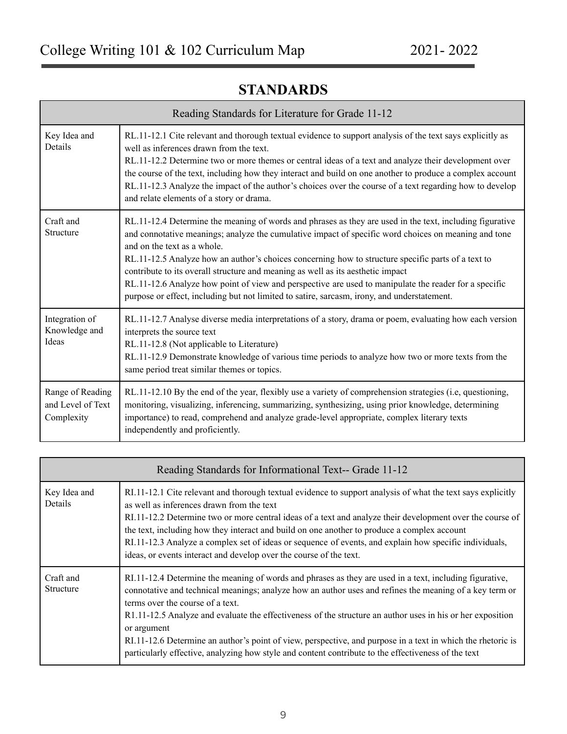| Reading Standards for Literature for Grade 11-12    |                                                                                                                                                                                                                                                                                                                                                                                                                                                                                                                                                                                                                                                 |
|-----------------------------------------------------|-------------------------------------------------------------------------------------------------------------------------------------------------------------------------------------------------------------------------------------------------------------------------------------------------------------------------------------------------------------------------------------------------------------------------------------------------------------------------------------------------------------------------------------------------------------------------------------------------------------------------------------------------|
| Key Idea and<br>Details                             | RL.11-12.1 Cite relevant and thorough textual evidence to support analysis of the text says explicitly as<br>well as inferences drawn from the text.<br>RL.11-12.2 Determine two or more themes or central ideas of a text and analyze their development over<br>the course of the text, including how they interact and build on one another to produce a complex account<br>RL.11-12.3 Analyze the impact of the author's choices over the course of a text regarding how to develop<br>and relate elements of a story or drama.                                                                                                              |
| Craft and<br>Structure                              | RL.11-12.4 Determine the meaning of words and phrases as they are used in the text, including figurative<br>and connotative meanings; analyze the cumulative impact of specific word choices on meaning and tone<br>and on the text as a whole<br>RL.11-12.5 Analyze how an author's choices concerning how to structure specific parts of a text to<br>contribute to its overall structure and meaning as well as its aesthetic impact<br>RL.11-12.6 Analyze how point of view and perspective are used to manipulate the reader for a specific<br>purpose or effect, including but not limited to satire, sarcasm, irony, and understatement. |
| Integration of<br>Knowledge and<br>Ideas            | RL.11-12.7 Analyse diverse media interpretations of a story, drama or poem, evaluating how each version<br>interprets the source text<br>RL.11-12.8 (Not applicable to Literature)<br>RL.11-12.9 Demonstrate knowledge of various time periods to analyze how two or more texts from the<br>same period treat similar themes or topics.                                                                                                                                                                                                                                                                                                         |
| Range of Reading<br>and Level of Text<br>Complexity | RL.11-12.10 By the end of the year, flexibly use a variety of comprehension strategies (i.e, questioning,<br>monitoring, visualizing, inferencing, summarizing, synthesizing, using prior knowledge, determining<br>importance) to read, comprehend and analyze grade-level appropriate, complex literary texts<br>independently and proficiently.                                                                                                                                                                                                                                                                                              |

# **STANDARDS**

| Reading Standards for Informational Text-- Grade 11-12 |                                                                                                                                                                                                                                                                                                                                                                                                                                                                                                                                                                                                           |
|--------------------------------------------------------|-----------------------------------------------------------------------------------------------------------------------------------------------------------------------------------------------------------------------------------------------------------------------------------------------------------------------------------------------------------------------------------------------------------------------------------------------------------------------------------------------------------------------------------------------------------------------------------------------------------|
| Key Idea and<br>Details                                | RI.11-12.1 Cite relevant and thorough textual evidence to support analysis of what the text says explicitly<br>as well as inferences drawn from the text<br>RI.11-12.2 Determine two or more central ideas of a text and analyze their development over the course of<br>the text, including how they interact and build on one another to produce a complex account<br>RI.11-12.3 Analyze a complex set of ideas or sequence of events, and explain how specific individuals,<br>ideas, or events interact and develop over the course of the text.                                                      |
| Craft and<br>Structure                                 | RI.11-12.4 Determine the meaning of words and phrases as they are used in a text, including figurative,<br>connotative and technical meanings; analyze how an author uses and refines the meaning of a key term or<br>terms over the course of a text.<br>R1.11-12.5 Analyze and evaluate the effectiveness of the structure an author uses in his or her exposition<br>or argument<br>RI.11-12.6 Determine an author's point of view, perspective, and purpose in a text in which the rhetoric is<br>particularly effective, analyzing how style and content contribute to the effectiveness of the text |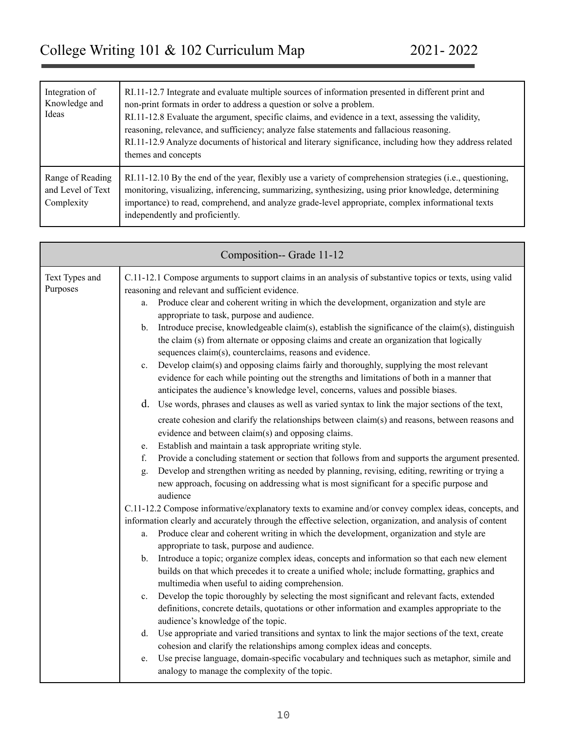| Integration of<br>Knowledge and<br>Ideas            | RI.11-12.7 Integrate and evaluate multiple sources of information presented in different print and<br>non-print formats in order to address a question or solve a problem.<br>RI.11-12.8 Evaluate the argument, specific claims, and evidence in a text, assessing the validity,<br>reasoning, relevance, and sufficiency; analyze false statements and fallacious reasoning.<br>RI.11-12.9 Analyze documents of historical and literary significance, including how they address related<br>themes and concepts |
|-----------------------------------------------------|------------------------------------------------------------------------------------------------------------------------------------------------------------------------------------------------------------------------------------------------------------------------------------------------------------------------------------------------------------------------------------------------------------------------------------------------------------------------------------------------------------------|
| Range of Reading<br>and Level of Text<br>Complexity | RI.11-12.10 By the end of the year, flexibly use a variety of comprehension strategies (i.e., questioning,<br>monitoring, visualizing, inferencing, summarizing, synthesizing, using prior knowledge, determining<br>importance) to read, comprehend, and analyze grade-level appropriate, complex informational texts<br>independently and proficiently.                                                                                                                                                        |

|                            | Composition-- Grade 11-12                                                                                                                                                                                                                                                                                                                                                                                                                                                                                                                                                                                                                                                                                                                                                                                                                                                                                                                                                                                                                                                                                                                                                                                                                                                                                                                                                                                                                                                                                                                                                                                                                                                                                                                                                                                                                                                                                                                                                                                                                                                                                                                                                                                                                                                                                                                                                                                                                                                                                                                                                                                                                                                                                                                                                                          |
|----------------------------|----------------------------------------------------------------------------------------------------------------------------------------------------------------------------------------------------------------------------------------------------------------------------------------------------------------------------------------------------------------------------------------------------------------------------------------------------------------------------------------------------------------------------------------------------------------------------------------------------------------------------------------------------------------------------------------------------------------------------------------------------------------------------------------------------------------------------------------------------------------------------------------------------------------------------------------------------------------------------------------------------------------------------------------------------------------------------------------------------------------------------------------------------------------------------------------------------------------------------------------------------------------------------------------------------------------------------------------------------------------------------------------------------------------------------------------------------------------------------------------------------------------------------------------------------------------------------------------------------------------------------------------------------------------------------------------------------------------------------------------------------------------------------------------------------------------------------------------------------------------------------------------------------------------------------------------------------------------------------------------------------------------------------------------------------------------------------------------------------------------------------------------------------------------------------------------------------------------------------------------------------------------------------------------------------------------------------------------------------------------------------------------------------------------------------------------------------------------------------------------------------------------------------------------------------------------------------------------------------------------------------------------------------------------------------------------------------------------------------------------------------------------------------------------------------|
| Text Types and<br>Purposes | C.11-12.1 Compose arguments to support claims in an analysis of substantive topics or texts, using valid<br>reasoning and relevant and sufficient evidence.<br>Produce clear and coherent writing in which the development, organization and style are<br>a.<br>appropriate to task, purpose and audience.<br>Introduce precise, knowledgeable claim(s), establish the significance of the claim(s), distinguish<br>$\mathbf{b}$ .<br>the claim (s) from alternate or opposing claims and create an organization that logically<br>sequences claim(s), counterclaims, reasons and evidence.<br>Develop claim(s) and opposing claims fairly and thoroughly, supplying the most relevant<br>$c_{\cdot}$<br>evidence for each while pointing out the strengths and limitations of both in a manner that<br>anticipates the audience's knowledge level, concerns, values and possible biases.<br>d. Use words, phrases and clauses as well as varied syntax to link the major sections of the text,<br>create cohesion and clarify the relationships between claim(s) and reasons, between reasons and<br>evidence and between claim(s) and opposing claims.<br>Establish and maintain a task appropriate writing style.<br>e.<br>Provide a concluding statement or section that follows from and supports the argument presented.<br>f.<br>Develop and strengthen writing as needed by planning, revising, editing, rewriting or trying a<br>g.<br>new approach, focusing on addressing what is most significant for a specific purpose and<br>audience<br>C.11-12.2 Compose informative/explanatory texts to examine and/or convey complex ideas, concepts, and<br>information clearly and accurately through the effective selection, organization, and analysis of content<br>Produce clear and coherent writing in which the development, organization and style are<br>a.<br>appropriate to task, purpose and audience.<br>Introduce a topic; organize complex ideas, concepts and information so that each new element<br>$\mathbf{b}$ .<br>builds on that which precedes it to create a unified whole; include formatting, graphics and<br>multimedia when useful to aiding comprehension.<br>Develop the topic thoroughly by selecting the most significant and relevant facts, extended<br>$c_{\cdot}$<br>definitions, concrete details, quotations or other information and examples appropriate to the<br>audience's knowledge of the topic.<br>Use appropriate and varied transitions and syntax to link the major sections of the text, create<br>d.<br>cohesion and clarify the relationships among complex ideas and concepts.<br>Use precise language, domain-specific vocabulary and techniques such as metaphor, simile and<br>e.<br>analogy to manage the complexity of the topic. |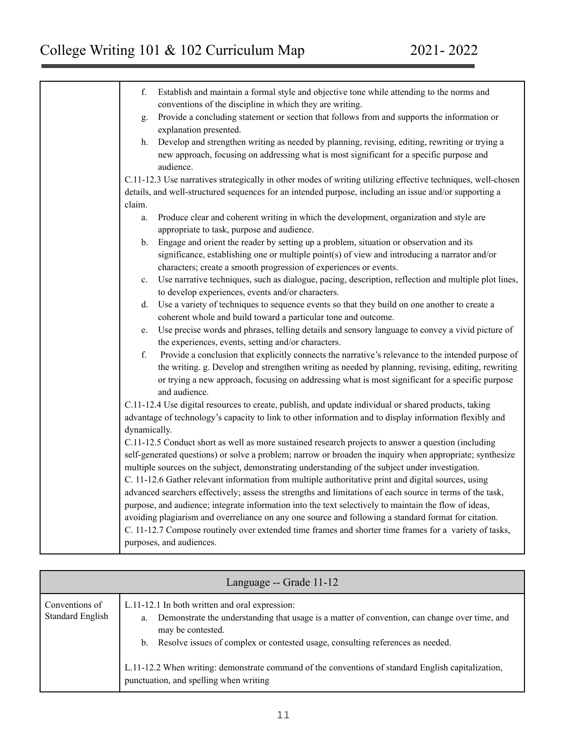| f.<br>Establish and maintain a formal style and objective tone while attending to the norms and<br>conventions of the discipline in which they are writing. |
|-------------------------------------------------------------------------------------------------------------------------------------------------------------|
| Provide a concluding statement or section that follows from and supports the information or<br>g.                                                           |
| explanation presented.                                                                                                                                      |
| Develop and strengthen writing as needed by planning, revising, editing, rewriting or trying a<br>h.                                                        |
|                                                                                                                                                             |
| new approach, focusing on addressing what is most significant for a specific purpose and                                                                    |
| audience.                                                                                                                                                   |
| C.11-12.3 Use narratives strategically in other modes of writing utilizing effective techniques, well-chosen                                                |
| details, and well-structured sequences for an intended purpose, including an issue and/or supporting a                                                      |
| claim.                                                                                                                                                      |
| Produce clear and coherent writing in which the development, organization and style are<br>a.                                                               |
| appropriate to task, purpose and audience.                                                                                                                  |
| Engage and orient the reader by setting up a problem, situation or observation and its<br>$b_{-}$                                                           |
| significance, establishing one or multiple point(s) of view and introducing a narrator and/or                                                               |
| characters; create a smooth progression of experiences or events.                                                                                           |
| Use narrative techniques, such as dialogue, pacing, description, reflection and multiple plot lines,<br>$c_{-}$                                             |
| to develop experiences, events and/or characters.                                                                                                           |
| Use a variety of techniques to sequence events so that they build on one another to create a<br>d.                                                          |
| coherent whole and build toward a particular tone and outcome.                                                                                              |
| Use precise words and phrases, telling details and sensory language to convey a vivid picture of<br>e.                                                      |
| the experiences, events, setting and/or characters.                                                                                                         |
| f.<br>Provide a conclusion that explicitly connects the narrative's relevance to the intended purpose of                                                    |
| the writing. g. Develop and strengthen writing as needed by planning, revising, editing, rewriting                                                          |
| or trying a new approach, focusing on addressing what is most significant for a specific purpose                                                            |
| and audience.                                                                                                                                               |
| C.11-12.4 Use digital resources to create, publish, and update individual or shared products, taking                                                        |
| advantage of technology's capacity to link to other information and to display information flexibly and                                                     |
| dynamically.                                                                                                                                                |
| C.11-12.5 Conduct short as well as more sustained research projects to answer a question (including                                                         |
| self-generated questions) or solve a problem; narrow or broaden the inquiry when appropriate; synthesize                                                    |
| multiple sources on the subject, demonstrating understanding of the subject under investigation.                                                            |
| C. 11-12.6 Gather relevant information from multiple authoritative print and digital sources, using                                                         |
| advanced searchers effectively; assess the strengths and limitations of each source in terms of the task,                                                   |
| purpose, and audience; integrate information into the text selectively to maintain the flow of ideas,                                                       |
| avoiding plagiarism and overreliance on any one source and following a standard format for citation.                                                        |
| C. 11-12.7 Compose routinely over extended time frames and shorter time frames for a variety of tasks,                                                      |
| purposes, and audiences.                                                                                                                                    |
|                                                                                                                                                             |

| Language -- Grade 11-12                   |                                                                                                                                                                                                                                                                                                                                                                                                                 |
|-------------------------------------------|-----------------------------------------------------------------------------------------------------------------------------------------------------------------------------------------------------------------------------------------------------------------------------------------------------------------------------------------------------------------------------------------------------------------|
| Conventions of<br><b>Standard English</b> | L.11-12.1 In both written and oral expression:<br>Demonstrate the understanding that usage is a matter of convention, can change over time, and<br>a.<br>may be contested.<br>b. Resolve issues of complex or contested usage, consulting references as needed.<br>L.11-12.2 When writing: demonstrate command of the conventions of standard English capitalization,<br>punctuation, and spelling when writing |